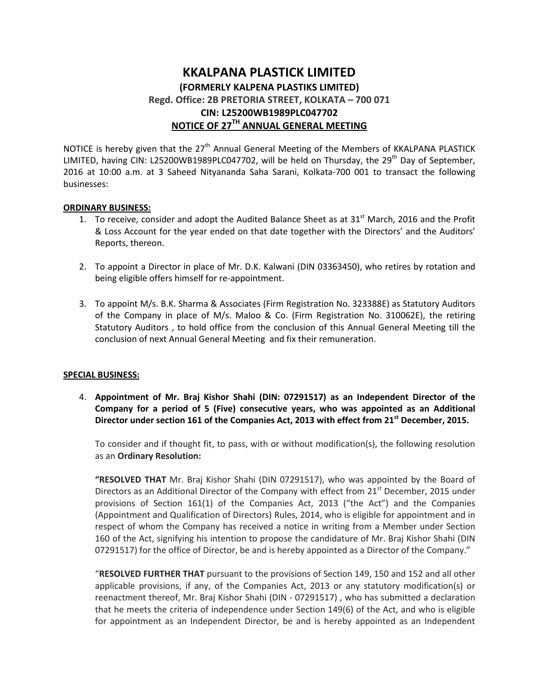## **KKALPANA PLASTICK LIMITED (FORMERLY KALPENA PLASTIKS LIMITED) Regd. Office: 2B PRETORIA STREET, KOLKATA – 700 071 CIN: L25200WB1989PLC047702 NOTICE OF 27TH ANNUAL GENERAL MEETING**

NOTICE is hereby given that the 27<sup>th</sup> Annual General Meeting of the Members of KKALPANA PLASTICK LIMITED, having CIN: L25200WB1989PLC047702, will be held on Thursday, the 29<sup>th</sup> Day of September. 2016 at 10:00 a.m. at 3 Saheed Nityananda Saha Sarani, Kolkata-700 001 to transact the following businesses:

#### **ORDINARY BUSINESS:**

- 1. To receive, consider and adopt the Audited Balance Sheet as at  $31<sup>st</sup>$  March, 2016 and the Profit & Loss Account for the year ended on that date together with the Directors' and the Auditors' Reports, thereon.
- 2. To appoint a Director in place of Mr. D.K. Kalwani (DIN 03363450), who retires by rotation and being eligible offers himself for re-appointment.
- 3. To appoint M/s. B.K. Sharma & Associates (Firm Registration No. 323388E) as Statutory Auditors of the Company in place of M/s. Maloo & Co. (Firm Registration No. 310062E), the retiring Statutory Auditors , to hold office from the conclusion of this Annual General Meeting till the conclusion of next Annual General Meeting and fix their remuneration.

#### **SPECIAL BUSINESS:**

4. **Appointment of Mr. Braj Kishor Shahi (DIN: 07291517) as an Independent Director of the Company for a period of 5 (Five) consecutive years, who was appointed as an Additional Director under section 161 of the Companies Act, 2013 with effect from 21st December, 2015.** 

To consider and if thought fit, to pass, with or without modification(s), the following resolution as an **Ordinary Resolution:** 

**"RESOLVED THAT** Mr. Braj Kishor Shahi (DIN 07291517), who was appointed by the Board of Directors as an Additional Director of the Company with effect from 21<sup>st</sup> December, 2015 under provisions of Section 161(1) of the Companies Act, 2013 ("the Act") and the Companies (Appointment and Qualification of Directors) Rules, 2014, who is eligible for appointment and in respect of whom the Company has received a notice in writing from a Member under Section 160 of the Act, signifying his intention to propose the candidature of Mr. Braj Kishor Shahi (DIN 07291517) for the office of Director, be and is hereby appointed as a Director of the Company."

"**RESOLVED FURTHER THAT** pursuant to the provisions of Section 149, 150 and 152 and all other applicable provisions, if any, of the Companies Act, 2013 or any statutory modification(s) or reenactment thereof, Mr. Braj Kishor Shahi (DIN - 07291517) , who has submitted a declaration that he meets the criteria of independence under Section 149(6) of the Act, and who is eligible for appointment as an Independent Director, be and is hereby appointed as an Independent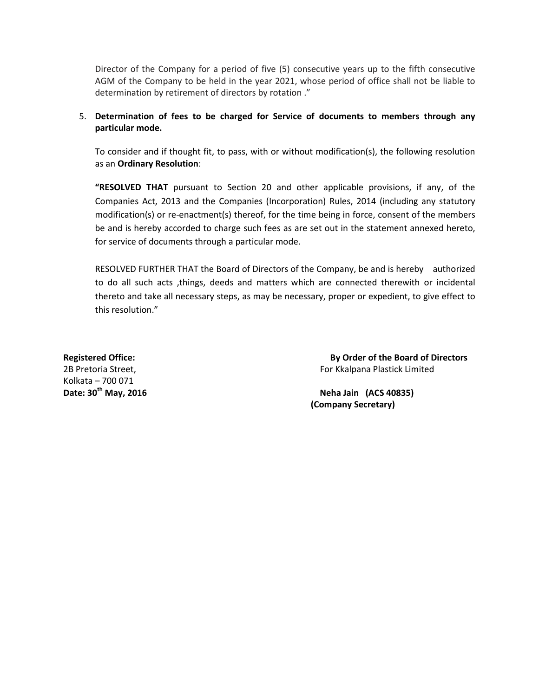Director of the Company for a period of five (5) consecutive years up to the fifth consecutive AGM of the Company to be held in the year 2021, whose period of office shall not be liable to determination by retirement of directors by rotation ."

### 5. **Determination of fees to be charged for Service of documents to members through any particular mode.**

To consider and if thought fit, to pass, with or without modification(s), the following resolution as an **Ordinary Resolution**:

**"RESOLVED THAT** pursuant to Section 20 and other applicable provisions, if any, of the Companies Act, 2013 and the Companies (Incorporation) Rules, 2014 (including any statutory modification(s) or re-enactment(s) thereof, for the time being in force, consent of the members be and is hereby accorded to charge such fees as are set out in the statement annexed hereto, for service of documents through a particular mode.

RESOLVED FURTHER THAT the Board of Directors of the Company, be and is hereby authorized to do all such acts ,things, deeds and matters which are connected therewith or incidental thereto and take all necessary steps, as may be necessary, proper or expedient, to give effect to this resolution."

Kolkata – 700 071

**Registered Office: By Order of the Board of Directors** 2B Pretoria Street, For Kkalpana Plastick Limited

**Date: 30th May, 2016 Neha Jain (ACS 40835) (Company Secretary)**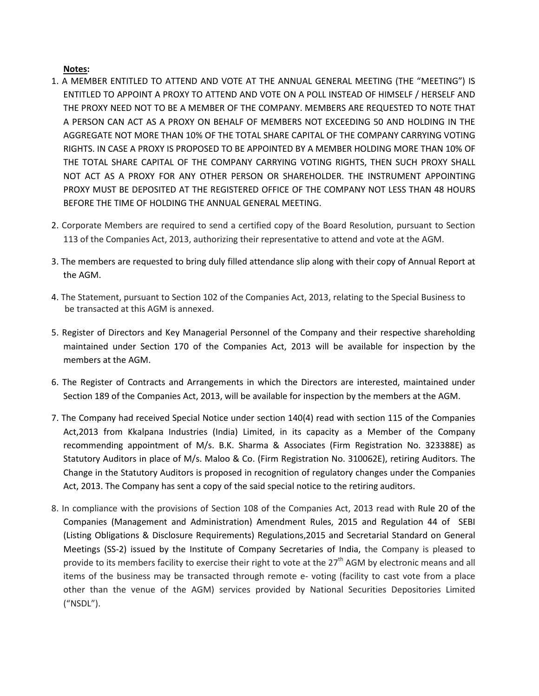#### **Notes:**

- 1. A MEMBER ENTITLED TO ATTEND AND VOTE AT THE ANNUAL GENERAL MEETING (THE "MEETING") IS ENTITLED TO APPOINT A PROXY TO ATTEND AND VOTE ON A POLL INSTEAD OF HIMSELF / HERSELF AND THE PROXY NEED NOT TO BE A MEMBER OF THE COMPANY. MEMBERS ARE REQUESTED TO NOTE THAT A PERSON CAN ACT AS A PROXY ON BEHALF OF MEMBERS NOT EXCEEDING 50 AND HOLDING IN THE AGGREGATE NOT MORE THAN 10% OF THE TOTAL SHARE CAPITAL OF THE COMPANY CARRYING VOTING RIGHTS. IN CASE A PROXY IS PROPOSED TO BE APPOINTED BY A MEMBER HOLDING MORE THAN 10% OF THE TOTAL SHARE CAPITAL OF THE COMPANY CARRYING VOTING RIGHTS, THEN SUCH PROXY SHALL NOT ACT AS A PROXY FOR ANY OTHER PERSON OR SHAREHOLDER. THE INSTRUMENT APPOINTING PROXY MUST BE DEPOSITED AT THE REGISTERED OFFICE OF THE COMPANY NOT LESS THAN 48 HOURS BEFORE THE TIME OF HOLDING THE ANNUAL GENERAL MEETING.
- 2. Corporate Members are required to send a certified copy of the Board Resolution, pursuant to Section 113 of the Companies Act, 2013, authorizing their representative to attend and vote at the AGM.
- 3. The members are requested to bring duly filled attendance slip along with their copy of Annual Report at the AGM.
- 4. The Statement, pursuant to Section 102 of the Companies Act, 2013, relating to the Special Business to be transacted at this AGM is annexed.
- 5. Register of Directors and Key Managerial Personnel of the Company and their respective shareholding maintained under Section 170 of the Companies Act, 2013 will be available for inspection by the members at the AGM.
- 6. The Register of Contracts and Arrangements in which the Directors are interested, maintained under Section 189 of the Companies Act, 2013, will be available for inspection by the members at the AGM.
- 7. The Company had received Special Notice under section 140(4) read with section 115 of the Companies Act,2013 from Kkalpana Industries (India) Limited, in its capacity as a Member of the Company recommending appointment of M/s. B.K. Sharma & Associates (Firm Registration No. 323388E) as Statutory Auditors in place of M/s. Maloo & Co. (Firm Registration No. 310062E), retiring Auditors. The Change in the Statutory Auditors is proposed in recognition of regulatory changes under the Companies Act, 2013. The Company has sent a copy of the said special notice to the retiring auditors.
- 8. In compliance with the provisions of Section 108 of the Companies Act, 2013 read with Rule 20 of the Companies (Management and Administration) Amendment Rules, 2015 and Regulation 44 of SEBI (Listing Obligations & Disclosure Requirements) Regulations,2015 and Secretarial Standard on General Meetings (SS-2) issued by the Institute of Company Secretaries of India, the Company is pleased to provide to its members facility to exercise their right to vote at the 27<sup>th</sup> AGM by electronic means and all items of the business may be transacted through remote e- voting (facility to cast vote from a place other than the venue of the AGM) services provided by National Securities Depositories Limited ("NSDL").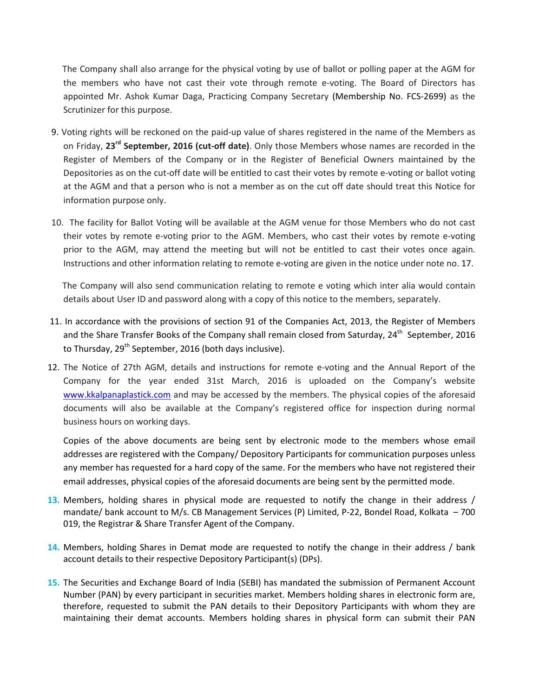The Company shall also arrange for the physical voting by use of ballot or polling paper at the AGM for the members who have not cast their vote through remote e-voting. The Board of Directors has appointed Mr. Ashok Kumar Daga, Practicing Company Secretary (Membership No. FCS-2699) as the Scrutinizer for this purpose.

- 9. Voting rights will be reckoned on the paid-up value of shares registered in the name of the Members as on Friday, **23rd September, 2016 (cut-off date)**. Only those Members whose names are recorded in the Register of Members of the Company or in the Register of Beneficial Owners maintained by the Depositories as on the cut-off date will be entitled to cast their votes by remote e-voting or ballot voting at the AGM and that a person who is not a member as on the cut off date should treat this Notice for information purpose only.
- 10. The facility for Ballot Voting will be available at the AGM venue for those Members who do not cast their votes by remote e-voting prior to the AGM. Members, who cast their votes by remote e-voting prior to the AGM, may attend the meeting but will not be entitled to cast their votes once again. Instructions and other information relating to remote e-voting are given in the notice under note no. 17.

 The Company will also send communication relating to remote e voting which inter alia would contain details about User ID and password along with a copy of this notice to the members, separately.

- 11. In accordance with the provisions of section 91 of the Companies Act, 2013, the Register of Members and the Share Transfer Books of the Company shall remain closed from Saturday, 24<sup>th</sup> September, 2016 to Thursday,  $29^{th}$  September, 2016 (both days inclusive).
- 12. The Notice of 27th AGM, details and instructions for remote e-voting and the Annual Report of the Company for the year ended 31st March, 2016 is uploaded on the Company's website www.kkalpanaplastick.com and may be accessed by the members. The physical copies of the aforesaid documents will also be available at the Company's registered office for inspection during normal business hours on working days.

Copies of the above documents are being sent by electronic mode to the members whose email addresses are registered with the Company/ Depository Participants for communication purposes unless any member has requested for a hard copy of the same. For the members who have not registered their email addresses, physical copies of the aforesaid documents are being sent by the permitted mode.

- **13.** Members, holding shares in physical mode are requested to notify the change in their address / mandate/ bank account to M/s. CB Management Services (P) Limited, P-22, Bondel Road, Kolkata – 700 019, the Registrar & Share Transfer Agent of the Company.
- **14.** Members, holding Shares in Demat mode are requested to notify the change in their address / bank account details to their respective Depository Participant(s) (DPs).
- **15.** The Securities and Exchange Board of India (SEBI) has mandated the submission of Permanent Account Number (PAN) by every participant in securities market. Members holding shares in electronic form are, therefore, requested to submit the PAN details to their Depository Participants with whom they are maintaining their demat accounts. Members holding shares in physical form can submit their PAN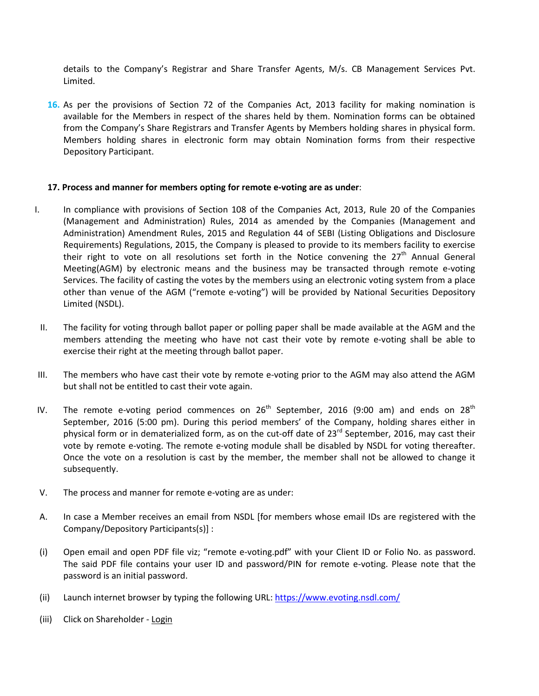details to the Company's Registrar and Share Transfer Agents, M/s. CB Management Services Pvt. Limited.

**16.** As per the provisions of Section 72 of the Companies Act, 2013 facility for making nomination is available for the Members in respect of the shares held by them. Nomination forms can be obtained from the Company's Share Registrars and Transfer Agents by Members holding shares in physical form. Members holding shares in electronic form may obtain Nomination forms from their respective Depository Participant.

#### **17. Process and manner for members opting for remote e-voting are as under**:

- I. In compliance with provisions of Section 108 of the Companies Act, 2013, Rule 20 of the Companies (Management and Administration) Rules, 2014 as amended by the Companies (Management and Administration) Amendment Rules, 2015 and Regulation 44 of SEBI (Listing Obligations and Disclosure Requirements) Regulations, 2015, the Company is pleased to provide to its members facility to exercise their right to vote on all resolutions set forth in the Notice convening the  $27<sup>th</sup>$  Annual General Meeting(AGM) by electronic means and the business may be transacted through remote e-voting Services. The facility of casting the votes by the members using an electronic voting system from a place other than venue of the AGM ("remote e-voting") will be provided by National Securities Depository Limited (NSDL).
- II. The facility for voting through ballot paper or polling paper shall be made available at the AGM and the members attending the meeting who have not cast their vote by remote e-voting shall be able to exercise their right at the meeting through ballot paper.
- III. The members who have cast their vote by remote e-voting prior to the AGM may also attend the AGM but shall not be entitled to cast their vote again.
- IV. The remote e-voting period commences on  $26<sup>th</sup>$  September, 2016 (9:00 am) and ends on  $28<sup>th</sup>$ September, 2016 (5:00 pm). During this period members' of the Company, holding shares either in physical form or in dematerialized form, as on the cut-off date of  $23^{rd}$  September, 2016, may cast their vote by remote e-voting. The remote e-voting module shall be disabled by NSDL for voting thereafter. Once the vote on a resolution is cast by the member, the member shall not be allowed to change it subsequently.
- V. The process and manner for remote e-voting are as under:
- A. In case a Member receives an email from NSDL [for members whose email IDs are registered with the Company/Depository Participants(s)] :
- (i) Open email and open PDF file viz; "remote e-voting.pdf" with your Client ID or Folio No. as password. The said PDF file contains your user ID and password/PIN for remote e-voting. Please note that the password is an initial password.
- (ii) Launch internet browser by typing the following URL: https://www.evoting.nsdl.com/
- (iii) Click on Shareholder Login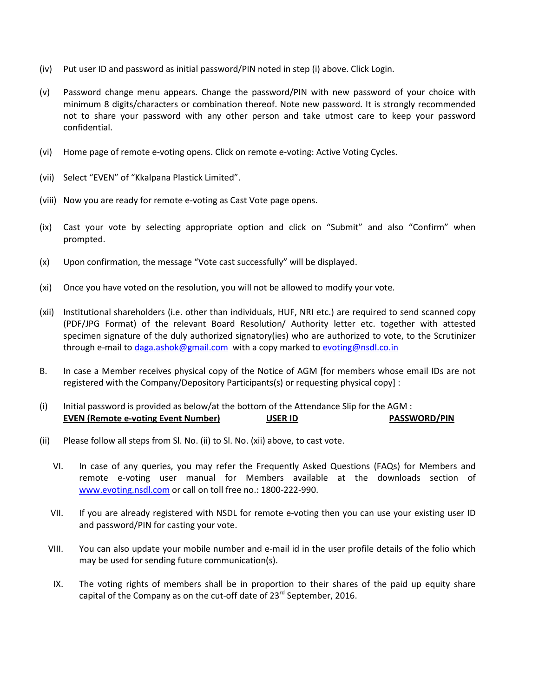- (iv) Put user ID and password as initial password/PIN noted in step (i) above. Click Login.
- (v) Password change menu appears. Change the password/PIN with new password of your choice with minimum 8 digits/characters or combination thereof. Note new password. It is strongly recommended not to share your password with any other person and take utmost care to keep your password confidential.
- (vi) Home page of remote e-voting opens. Click on remote e-voting: Active Voting Cycles.
- (vii) Select "EVEN" of "Kkalpana Plastick Limited".
- (viii) Now you are ready for remote e-voting as Cast Vote page opens.
- (ix) Cast your vote by selecting appropriate option and click on "Submit" and also "Confirm" when prompted.
- (x) Upon confirmation, the message "Vote cast successfully" will be displayed.
- (xi) Once you have voted on the resolution, you will not be allowed to modify your vote.
- (xii) Institutional shareholders (i.e. other than individuals, HUF, NRI etc.) are required to send scanned copy (PDF/JPG Format) of the relevant Board Resolution/ Authority letter etc. together with attested specimen signature of the duly authorized signatory(ies) who are authorized to vote, to the Scrutinizer through e-mail to daga.ashok@gmail.com with a copy marked to evoting@nsdl.co.in
- B. In case a Member receives physical copy of the Notice of AGM [for members whose email IDs are not registered with the Company/Depository Participants(s) or requesting physical copy] :
- (i) Initial password is provided as below/at the bottom of the Attendance Slip for the AGM : **EVEN (Remote e-voting Event Number) USER ID PASSWORD/PIN**
- (ii) Please follow all steps from Sl. No. (ii) to Sl. No. (xii) above, to cast vote.
	- VI. In case of any queries, you may refer the Frequently Asked Questions (FAQs) for Members and remote e-voting user manual for Members available at the downloads section of www.evoting.nsdl.com or call on toll free no.: 1800-222-990.
	- VII. If you are already registered with NSDL for remote e-voting then you can use your existing user ID and password/PIN for casting your vote.
	- VIII. You can also update your mobile number and e-mail id in the user profile details of the folio which may be used for sending future communication(s).
	- IX. The voting rights of members shall be in proportion to their shares of the paid up equity share capital of the Company as on the cut-off date of  $23^{rd}$  September, 2016.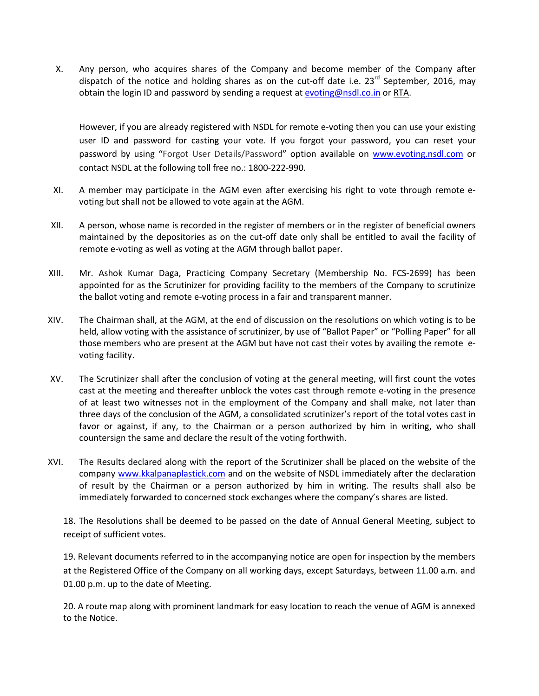X. Any person, who acquires shares of the Company and become member of the Company after dispatch of the notice and holding shares as on the cut-off date i.e.  $23^{rd}$  September, 2016, may obtain the login ID and password by sending a request at evoting@nsdl.co.in or RTA.

However, if you are already registered with NSDL for remote e-voting then you can use your existing user ID and password for casting your vote. If you forgot your password, you can reset your password by using "Forgot User Details/Password" option available on www.evoting.nsdl.com or contact NSDL at the following toll free no.: 1800-222-990.

- XI. A member may participate in the AGM even after exercising his right to vote through remote evoting but shall not be allowed to vote again at the AGM.
- XII. A person, whose name is recorded in the register of members or in the register of beneficial owners maintained by the depositories as on the cut-off date only shall be entitled to avail the facility of remote e-voting as well as voting at the AGM through ballot paper.
- XIII. Mr. Ashok Kumar Daga, Practicing Company Secretary (Membership No. FCS-2699) has been appointed for as the Scrutinizer for providing facility to the members of the Company to scrutinize the ballot voting and remote e-voting process in a fair and transparent manner.
- XIV. The Chairman shall, at the AGM, at the end of discussion on the resolutions on which voting is to be held, allow voting with the assistance of scrutinizer, by use of "Ballot Paper" or "Polling Paper" for all those members who are present at the AGM but have not cast their votes by availing the remote evoting facility.
- XV. The Scrutinizer shall after the conclusion of voting at the general meeting, will first count the votes cast at the meeting and thereafter unblock the votes cast through remote e-voting in the presence of at least two witnesses not in the employment of the Company and shall make, not later than three days of the conclusion of the AGM, a consolidated scrutinizer's report of the total votes cast in favor or against, if any, to the Chairman or a person authorized by him in writing, who shall countersign the same and declare the result of the voting forthwith.
- XVI. The Results declared along with the report of the Scrutinizer shall be placed on the website of the company www.kkalpanaplastick.com and on the website of NSDL immediately after the declaration of result by the Chairman or a person authorized by him in writing. The results shall also be immediately forwarded to concerned stock exchanges where the company's shares are listed.

18. The Resolutions shall be deemed to be passed on the date of Annual General Meeting, subject to receipt of sufficient votes.

19. Relevant documents referred to in the accompanying notice are open for inspection by the members at the Registered Office of the Company on all working days, except Saturdays, between 11.00 a.m. and 01.00 p.m. up to the date of Meeting.

20. A route map along with prominent landmark for easy location to reach the venue of AGM is annexed to the Notice.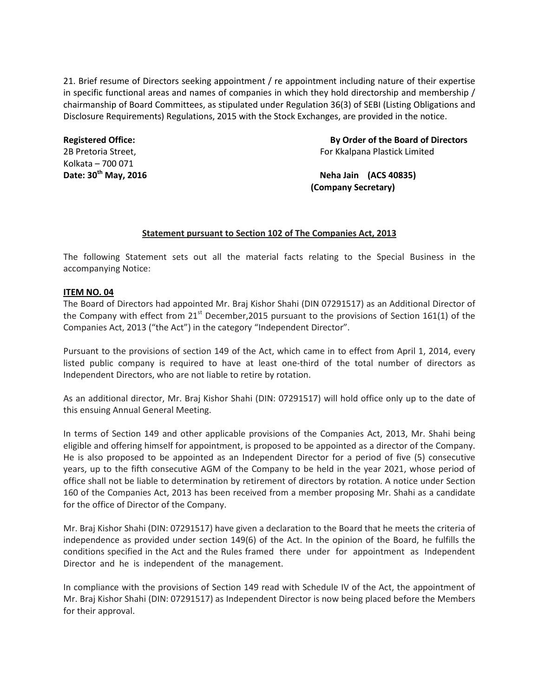21. Brief resume of Directors seeking appointment / re appointment including nature of their expertise in specific functional areas and names of companies in which they hold directorship and membership / chairmanship of Board Committees, as stipulated under Regulation 36(3) of SEBI (Listing Obligations and Disclosure Requirements) Regulations, 2015 with the Stock Exchanges, are provided in the notice.

# Kolkata – 700 071

**Registered Office: By Order of the Board of Directors** 2B Pretoria Street, For Kkalpana Plastick Limited

**Date: 30th May, 2016 Neha Jain (ACS 40835) (Company Secretary)** 

#### **Statement pursuant to Section 102 of The Companies Act, 2013**

The following Statement sets out all the material facts relating to the Special Business in the accompanying Notice:

#### **ITEM NO. 04**

The Board of Directors had appointed Mr. Braj Kishor Shahi (DIN 07291517) as an Additional Director of the Company with effect from  $21^{st}$  December, 2015 pursuant to the provisions of Section 161(1) of the Companies Act, 2013 ("the Act") in the category "Independent Director".

Pursuant to the provisions of section 149 of the Act, which came in to effect from April 1, 2014, every listed public company is required to have at least one-third of the total number of directors as Independent Directors, who are not liable to retire by rotation.

As an additional director, Mr. Braj Kishor Shahi (DIN: 07291517) will hold office only up to the date of this ensuing Annual General Meeting.

In terms of Section 149 and other applicable provisions of the Companies Act, 2013, Mr. Shahi being eligible and offering himself for appointment, is proposed to be appointed as a director of the Company. He is also proposed to be appointed as an Independent Director for a period of five (5) consecutive years, up to the fifth consecutive AGM of the Company to be held in the year 2021, whose period of office shall not be liable to determination by retirement of directors by rotation. A notice under Section 160 of the Companies Act, 2013 has been received from a member proposing Mr. Shahi as a candidate for the office of Director of the Company.

Mr. Braj Kishor Shahi (DIN: 07291517) have given a declaration to the Board that he meets the criteria of independence as provided under section 149(6) of the Act. In the opinion of the Board, he fulfills the conditions specified in the Act and the Rules framed there under for appointment as Independent Director and he is independent of the management.

In compliance with the provisions of Section 149 read with Schedule IV of the Act, the appointment of Mr. Braj Kishor Shahi (DIN: 07291517) as Independent Director is now being placed before the Members for their approval.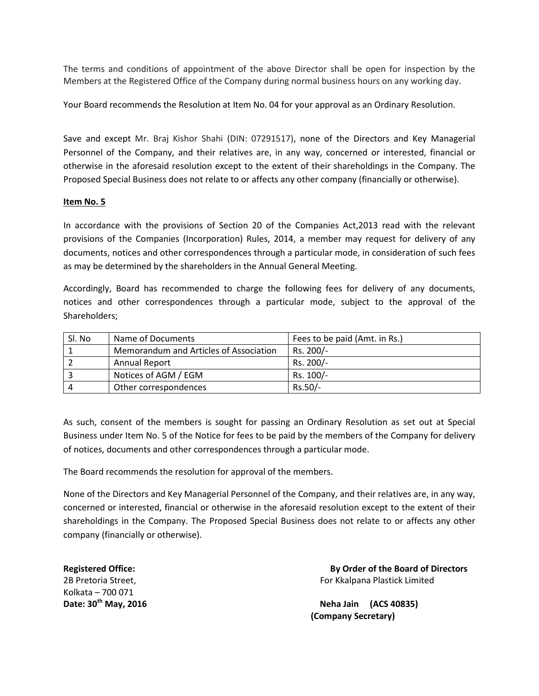The terms and conditions of appointment of the above Director shall be open for inspection by the Members at the Registered Office of the Company during normal business hours on any working day.

Your Board recommends the Resolution at Item No. 04 for your approval as an Ordinary Resolution.

Save and except Mr. Braj Kishor Shahi (DIN: 07291517), none of the Directors and Key Managerial Personnel of the Company, and their relatives are, in any way, concerned or interested, financial or otherwise in the aforesaid resolution except to the extent of their shareholdings in the Company. The Proposed Special Business does not relate to or affects any other company (financially or otherwise).

#### **Item No. 5**

In accordance with the provisions of Section 20 of the Companies Act,2013 read with the relevant provisions of the Companies (Incorporation) Rules, 2014, a member may request for delivery of any documents, notices and other correspondences through a particular mode, in consideration of such fees as may be determined by the shareholders in the Annual General Meeting.

Accordingly, Board has recommended to charge the following fees for delivery of any documents, notices and other correspondences through a particular mode, subject to the approval of the Shareholders;

| Sl. No | Name of Documents                      | Fees to be paid (Amt. in Rs.) |
|--------|----------------------------------------|-------------------------------|
|        | Memorandum and Articles of Association | Rs. 200/-                     |
|        | <b>Annual Report</b>                   | Rs. 200/-                     |
|        | Notices of AGM / EGM                   | Rs. 100/-                     |
|        | Other correspondences                  | Rs.50/-                       |

As such, consent of the members is sought for passing an Ordinary Resolution as set out at Special Business under Item No. 5 of the Notice for fees to be paid by the members of the Company for delivery of notices, documents and other correspondences through a particular mode.

The Board recommends the resolution for approval of the members.

None of the Directors and Key Managerial Personnel of the Company, and their relatives are, in any way, concerned or interested, financial or otherwise in the aforesaid resolution except to the extent of their shareholdings in the Company. The Proposed Special Business does not relate to or affects any other company (financially or otherwise).

Kolkata – 700 071

**Registered Office: By Order of the Board of Directors** 2B Pretoria Street, The Contract of Texas and Texas and Texas are For Kkalpana Plastick Limited

Date: 30<sup>th</sup> May, 2016 **Neha Jain (ACS 40835) (Company Secretary)**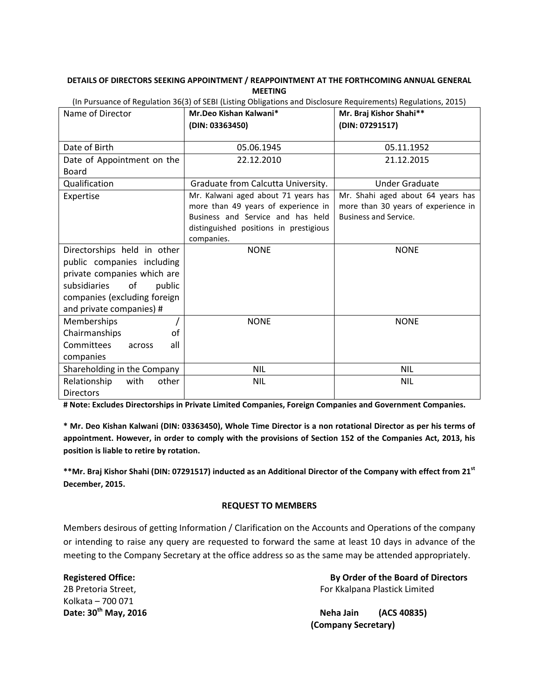#### **DETAILS OF DIRECTORS SEEKING APPOINTMENT / REAPPOINTMENT AT THE FORTHCOMING ANNUAL GENERAL MEETING**

| Name of Director              | arbaance or negaration bo(b) or been (Ebung Owngations and Disclosure negari emerity) negarations, Eb1b<br>Mr.Deo Kishan Kalwani* | Mr. Braj Kishor Shahi**             |
|-------------------------------|-----------------------------------------------------------------------------------------------------------------------------------|-------------------------------------|
|                               | (DIN: 03363450)                                                                                                                   | (DIN: 07291517)                     |
|                               |                                                                                                                                   |                                     |
| Date of Birth                 | 05.06.1945                                                                                                                        | 05.11.1952                          |
| Date of Appointment on the    | 22.12.2010                                                                                                                        | 21.12.2015                          |
| <b>Board</b>                  |                                                                                                                                   |                                     |
| Qualification                 | Graduate from Calcutta University.                                                                                                | Under Graduate                      |
| Expertise                     | Mr. Kalwani aged about 71 years has                                                                                               | Mr. Shahi aged about 64 years has   |
|                               | more than 49 years of experience in                                                                                               | more than 30 years of experience in |
|                               | Business and Service and has held                                                                                                 | <b>Business and Service.</b>        |
|                               | distinguished positions in prestigious                                                                                            |                                     |
|                               | companies.                                                                                                                        |                                     |
| Directorships held in other   | <b>NONE</b>                                                                                                                       | <b>NONE</b>                         |
| public companies including    |                                                                                                                                   |                                     |
| private companies which are   |                                                                                                                                   |                                     |
| subsidiaries<br>of<br>public  |                                                                                                                                   |                                     |
| companies (excluding foreign  |                                                                                                                                   |                                     |
| and private companies) #      |                                                                                                                                   |                                     |
| Memberships                   | <b>NONE</b>                                                                                                                       | <b>NONE</b>                         |
| Chairmanships<br>of           |                                                                                                                                   |                                     |
| Committees<br>all<br>across   |                                                                                                                                   |                                     |
| companies                     |                                                                                                                                   |                                     |
| Shareholding in the Company   | <b>NIL</b>                                                                                                                        | <b>NIL</b>                          |
| Relationship<br>with<br>other | <b>NIL</b>                                                                                                                        | <b>NIL</b>                          |
| <b>Directors</b>              |                                                                                                                                   |                                     |

(In Pursuance of Regulation 36(3) of SEBI (Listing Obligations and Disclosure Requirements) Regulations, 2015)

**# Note: Excludes Directorships in Private Limited Companies, Foreign Companies and Government Companies.** 

**\* Mr. Deo Kishan Kalwani (DIN: 03363450), Whole Time Director is a non rotational Director as per his terms of appointment. However, in order to comply with the provisions of Section 152 of the Companies Act, 2013, his position is liable to retire by rotation.** 

**\*\*Mr. Braj Kishor Shahi (DIN: 07291517) inducted as an Additional Director of the Company with effect from 21st December, 2015.** 

#### **REQUEST TO MEMBERS**

Members desirous of getting Information / Clarification on the Accounts and Operations of the company or intending to raise any query are requested to forward the same at least 10 days in advance of the meeting to the Company Secretary at the office address so as the same may be attended appropriately.

Kolkata – 700 071

**Registered Office: By Order of the Board of Directors** 2B Pretoria Street, **For Kkalpana Plastick Limited** 

Date: 30<sup>th</sup> May, 2016 **Neha Jain** (ACS 40835)  **(Company Secretary)**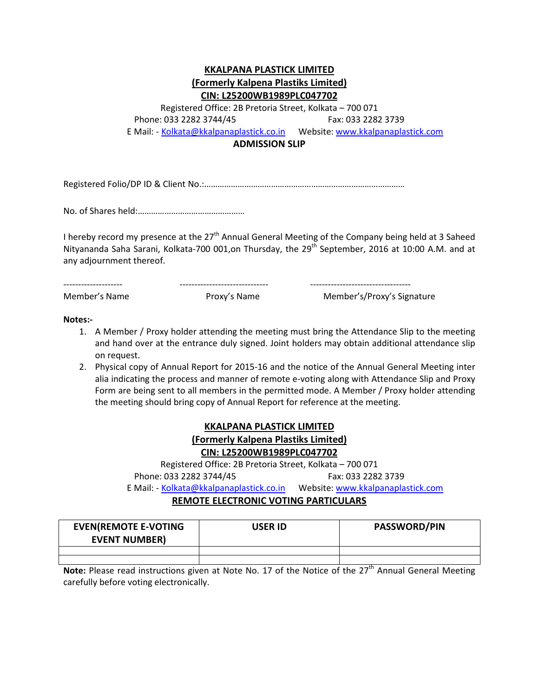### **KKALPANA PLASTICK LIMITED (Formerly Kalpena Plastiks Limited) CIN: L25200WB1989PLC047702**

Registered Office: 2B Pretoria Street, Kolkata – 700 071 Phone: 033 2282 3744/45 Fax: 033 2282 3739 E Mail: - Kolkata@kkalpanaplastick.co.in Website: www.kkalpanaplastick.com

**ADMISSION SLIP** 

Registered Folio/DP ID & Client No.:………………………………………………………………………………

No. of Shares held:…………………………………………

I hereby record my presence at the 27<sup>th</sup> Annual General Meeting of the Company being held at 3 Saheed Nityananda Saha Sarani, Kolkata-700 001, on Thursday, the 29<sup>th</sup> September, 2016 at 10:00 A.M. and at any adjournment thereof.

-------------------- ------------------------------ ----------------------------------

Member's Name Proxy's Name Member's/Proxy's Signature

**Notes:-** 

- 1. A Member / Proxy holder attending the meeting must bring the Attendance Slip to the meeting and hand over at the entrance duly signed. Joint holders may obtain additional attendance slip on request.
- 2. Physical copy of Annual Report for 2015-16 and the notice of the Annual General Meeting inter alia indicating the process and manner of remote e-voting along with Attendance Slip and Proxy Form are being sent to all members in the permitted mode. A Member / Proxy holder attending the meeting should bring copy of Annual Report for reference at the meeting.

## **KKALPANA PLASTICK LIMITED (Formerly Kalpena Plastiks Limited) CIN: L25200WB1989PLC047702**

Registered Office: 2B Pretoria Street, Kolkata – 700 071 Phone: 033 2282 3744/45 Fax: 033 2282 3739 E Mail: - Kolkata@kkalpanaplastick.co.in Website: www.kkalpanaplastick.com

### **REMOTE ELECTRONIC VOTING PARTICULARS**

| <b>EVEN(REMOTE E-VOTING</b><br><b>EVENT NUMBER)</b> | USER ID | <b>PASSWORD/PIN</b> |
|-----------------------------------------------------|---------|---------------------|
|                                                     |         |                     |
|                                                     |         |                     |

**Note:** Please read instructions given at Note No. 17 of the Notice of the 27<sup>th</sup> Annual General Meeting carefully before voting electronically.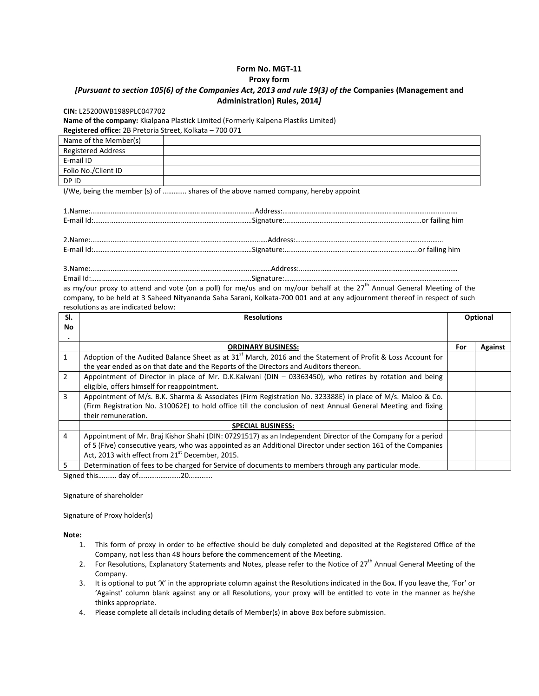### **Form No. MGT-11**

#### **Proxy form**

#### *[Pursuant to section 105(6) of the Companies Act, 2013 and rule 19(3) of the* **Companies (Management and Administration) Rules, 2014***]*

#### **CIN:** L25200WB1989PLC047702

**Name of the company:** Kkalpana Plastick Limited (Formerly Kalpena Plastiks Limited)

**Registered office:** 2B Pretoria Street, Kolkata – 700 071

| Name of the Member(s) |  |
|-----------------------|--|
| Registered Address    |  |
| E-mail ID             |  |
| Folio No./Client ID   |  |
| DP ID                 |  |

I/We, being the member (s) of …………. shares of the above named company, hereby appoint

| as my/our proxy to attend and vote (on a poll) for me/us and on my/our behalf at the 27 <sup>th</sup> Annual General Meeting of the |
|-------------------------------------------------------------------------------------------------------------------------------------|
| company, to be held at 3 Saheed Nityananda Saha Sarani, Kolkata-700 001 and at any adjournment thereof in respect of such           |

resolutions as are indicated below:

| SI.            | <b>Resolutions</b>                                                                                            |     | Optional       |  |
|----------------|---------------------------------------------------------------------------------------------------------------|-----|----------------|--|
| No             |                                                                                                               |     |                |  |
|                |                                                                                                               |     |                |  |
|                | <b>ORDINARY BUSINESS:</b>                                                                                     | For | <b>Against</b> |  |
| $\mathbf{1}$   | Adoption of the Audited Balance Sheet as at $31st$ March, 2016 and the Statement of Profit & Loss Account for |     |                |  |
|                | the year ended as on that date and the Reports of the Directors and Auditors thereon.                         |     |                |  |
| $\overline{2}$ | Appointment of Director in place of Mr. D.K.Kalwani (DIN - 03363450), who retires by rotation and being       |     |                |  |
|                | eligible, offers himself for reappointment.                                                                   |     |                |  |
| 3              | Appointment of M/s. B.K. Sharma & Associates (Firm Registration No. 323388E) in place of M/s. Maloo & Co.     |     |                |  |
|                | (Firm Registration No. 310062E) to hold office till the conclusion of next Annual General Meeting and fixing  |     |                |  |
|                | their remuneration.                                                                                           |     |                |  |
|                | <b>SPECIAL BUSINESS:</b>                                                                                      |     |                |  |
| $\overline{4}$ | Appointment of Mr. Braj Kishor Shahi (DIN: 07291517) as an Independent Director of the Company for a period   |     |                |  |
|                | of 5 (Five) consecutive years, who was appointed as an Additional Director under section 161 of the Companies |     |                |  |
|                | Act, 2013 with effect from 21 <sup>st</sup> December, 2015.                                                   |     |                |  |
| 5              | Determination of fees to be charged for Service of documents to members through any particular mode.          |     |                |  |

Signed this………. day of…………………..20………….

Signature of shareholder

Signature of Proxy holder(s)

**Note:** 

- 1. This form of proxy in order to be effective should be duly completed and deposited at the Registered Office of the Company, not less than 48 hours before the commencement of the Meeting.
- 2. For Resolutions, Explanatory Statements and Notes, please refer to the Notice of 27<sup>th</sup> Annual General Meeting of the Company.
- 3. It is optional to put 'X' in the appropriate column against the Resolutions indicated in the Box. If you leave the, 'For' or 'Against' column blank against any or all Resolutions, your proxy will be entitled to vote in the manner as he/she thinks appropriate.
- 4. Please complete all details including details of Member(s) in above Box before submission.